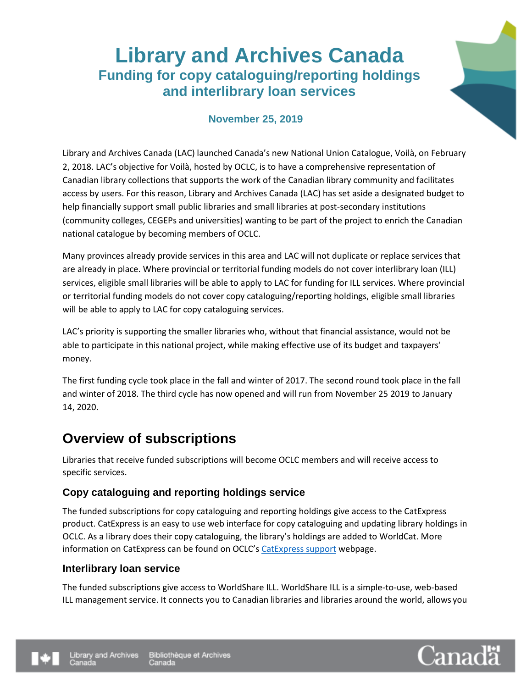# **Library and Archives Canada Funding for copy cataloguing/reporting holdings and interlibrary loan services**



### **November 25, 2019**

Library and Archives Canada (LAC) launched Canada's new National Union Catalogue, Voilà, on February 2, 2018. LAC's objective for Voilà, hosted by OCLC, is to have a comprehensive representation of Canadian library collections that supports the work of the Canadian library community and facilitates access by users. For this reason, Library and Archives Canada (LAC) has set aside a designated budget to help financially support small public libraries and small libraries at post-secondary institutions (community colleges, CEGEPs and universities) wanting to be part of the project to enrich the Canadian national catalogue by becoming members of OCLC.

Many provinces already provide services in this area and LAC will not duplicate or replace services that are already in place. Where provincial or territorial funding models do not cover interlibrary loan (ILL) services, eligible small libraries will be able to apply to LAC for funding for ILL services. Where provincial or territorial funding models do not cover copy cataloguing/reporting holdings, eligible small libraries will be able to apply to LAC for copy cataloguing services.

LAC's priority is supporting the smaller libraries who, without that financial assistance, would not be able to participate in this national project, while making effective use of its budget and taxpayers' money.

The first funding cycle took place in the fall and winter of 2017. The second round took place in the fall and winter of 2018. The third cycle has now opened and will run from November 25 2019 to January 14, 2020.

### **Overview of subscriptions**

Libraries that receive funded subscriptions will become OCLC members and will receive access to specific services.

#### **Copy cataloguing and reporting holdings service**

The funded subscriptions for copy cataloguing and reporting holdings give access to the CatExpress product. CatExpress is an easy to use web interface for copy cataloguing and updating library holdings in OCLC. As a library does their copy cataloguing, the library's holdings are added to WorldCat. More information on CatExpress can be found on OCLC's [CatExpress support](https://www.oclc.org/support/services/catexpress.en.html) webpage.

#### **Interlibrary loan service**

The funded subscriptions give access to WorldShare ILL. WorldShare ILL is a simple-to-use, web-based ILL management service. It connects you to Canadian libraries and libraries around the world, allows you